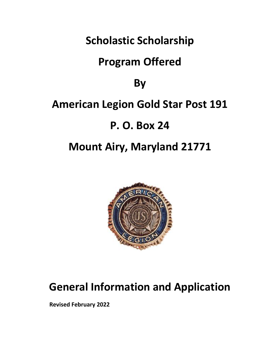**Scholastic Scholarship**

# **Program Offered**

**By**

## **American Legion Gold Star Post 191**

# **P. O. Box 24**

# **Mount Airy, Maryland 21771**



# **General Information and Application**

**Revised February 2022**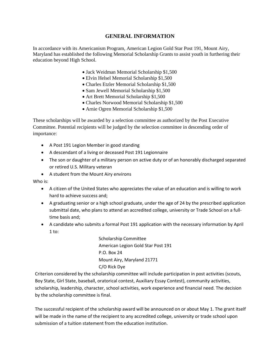#### **GENERAL INFORMATION**

In accordance with its Americanism Program, American Legion Gold Star Post 191, Mount Airy, Maryland has established the following Memorial Scholarship Grants to assist youth in furthering their education beyond High School.

- Jack Weidman Memorial Scholarship \$1,500
- Elvin Helsel Memorial Scholarship \$1,500
- Charles Etzler Memorial Scholarship \$1,500
- Sam Jewell Memorial Scholarship \$1,500
- Art Brett Memorial Scholarship \$1,500
- Charles Norwood Memorial Scholarship \$1,500
- Arnie Ogren Memorial Scholarship \$1,500

These scholarships will be awarded by a selection committee as authorized by the Post Executive Committee. Potential recipients will be judged by the selection committee in descending order of importance:

- A Post 191 Legion Member in good standing
- A descendant of a living or deceased Post 191 Legionnaire
- The son or daughter of a military person on active duty or of an honorably discharged separated or retired U.S. Military veteran
- A student from the Mount Airy environs

Who is:

- A citizen of the United States who appreciates the value of an education and is willing to work hard to achieve success and;
- A graduating senior or a high school graduate, under the age of 24 by the prescribed application submittal date, who plans to attend an accredited college, university or Trade School on a fulltime basis and;
- A candidate who submits a formal Post 191 application with the necessary information by April 1 to:

Scholarship Committee American Legion Gold Star Post 191 P.O. Box 24 Mount Airy, Maryland 21771 C/O Rick Dye

Criterion considered by the scholarship committee will include participation in post activities (scouts, Boy State, Girl State, baseball, oratorical contest, Auxiliary Essay Contest), community activities, scholarship, leadership, character, school activities, work experience and financial need. The decision by the scholarship committee is final.

The successful recipient of the scholarship award will be announced on or about May 1. The grant itself will be made in the name of the recipient to any accredited college, university or trade school upon submission of a tuition statement from the education institution.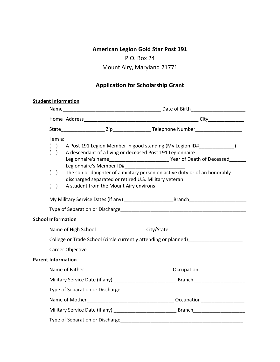### **American Legion Gold Star Post 191**

### P.O. Box 24

### Mount Airy, Maryland 21771

### **Application for Scholarship Grant**

### **Student Information**

| Name                                                          |                                                                                                                                                                               |                                                                                  |  |
|---------------------------------------------------------------|-------------------------------------------------------------------------------------------------------------------------------------------------------------------------------|----------------------------------------------------------------------------------|--|
|                                                               |                                                                                                                                                                               |                                                                                  |  |
|                                                               |                                                                                                                                                                               |                                                                                  |  |
| I am a:<br>$\rightarrow$<br>$\overline{(\cdot)}$<br>$\lambda$ | A descendant of a living or deceased Post 191 Legionnaire                                                                                                                     | A Post 191 Legion Member in good standing (My Legion ID# )                       |  |
| $\overline{(}$<br>$\lambda$<br>$\lambda$<br>$\left($          | The son or daughter of a military person on active duty or of an honorably<br>discharged separated or retired U.S. Military veteran<br>A student from the Mount Airy environs |                                                                                  |  |
|                                                               |                                                                                                                                                                               |                                                                                  |  |
|                                                               |                                                                                                                                                                               |                                                                                  |  |
| <b>School Information</b>                                     |                                                                                                                                                                               |                                                                                  |  |
|                                                               |                                                                                                                                                                               | Name of High School_____________________City/State______________________________ |  |
|                                                               | College or Trade School (circle currently attending or planned) ________________                                                                                              |                                                                                  |  |
|                                                               |                                                                                                                                                                               |                                                                                  |  |
| <b>Parent Information</b>                                     |                                                                                                                                                                               |                                                                                  |  |
|                                                               |                                                                                                                                                                               |                                                                                  |  |
|                                                               |                                                                                                                                                                               |                                                                                  |  |
|                                                               |                                                                                                                                                                               |                                                                                  |  |
|                                                               |                                                                                                                                                                               |                                                                                  |  |
|                                                               |                                                                                                                                                                               |                                                                                  |  |
|                                                               |                                                                                                                                                                               |                                                                                  |  |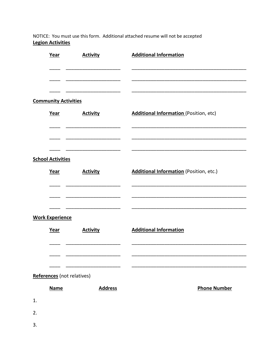NOTICE: You must use this form. Additional attached resume will not be accepted **Legion Activities** 

|    | Year                        | <b>Activity</b> | <b>Additional Information</b>           |
|----|-----------------------------|-----------------|-----------------------------------------|
|    |                             |                 |                                         |
|    |                             |                 |                                         |
|    | <b>Community Activities</b> |                 |                                         |
|    | Year                        | <b>Activity</b> | Additional Information (Position, etc)  |
|    |                             |                 |                                         |
|    |                             |                 |                                         |
|    | <b>School Activities</b>    |                 |                                         |
|    | Year                        | <b>Activity</b> | Additional Information (Position, etc.) |
|    |                             |                 |                                         |
|    |                             |                 |                                         |
|    | <b>Work Experience</b>      |                 |                                         |
|    | Year                        | <b>Activity</b> | <b>Additional Information</b>           |
|    |                             |                 |                                         |
|    |                             |                 |                                         |
|    | References (not relatives)  |                 |                                         |
|    | <b>Name</b>                 | <b>Address</b>  | <b>Phone Number</b>                     |
| 1. |                             |                 |                                         |
| 2. |                             |                 |                                         |
| 3. |                             |                 |                                         |